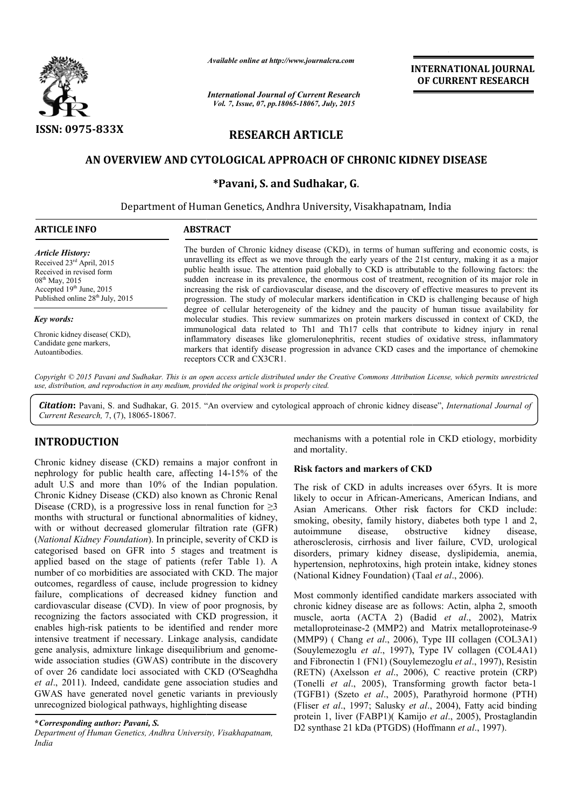

*Available online at http://www.journalcra.com*

*International Journal of Current Research Vol. 7, Issue, 07, pp.18065-18067, July, 2015*

**INTERNATIONAL INTERNATIONAL JOURNAL OF CURRENT RESEARCH** 

# **RESEARCH ARTICLE**

## **AN OVERVIEW AND CYTOLOGICAL APPROACH OF CHRONIC KIDNEY DISEASE OVERVIEW AND KIDNEY DISEASE**

**\*Pavani, S. and Sudhakar, G**.

Department of Human Genetics, Andhra University, Visakhapatnam, India

| <b>ARTICLE INFO</b>                                                                                                                                                                          | <b>ABSTRACT</b>                                                                                                                                                                                                                                                                                                                                                                                                                                                                                                                                                                                                                    |  |  |
|----------------------------------------------------------------------------------------------------------------------------------------------------------------------------------------------|------------------------------------------------------------------------------------------------------------------------------------------------------------------------------------------------------------------------------------------------------------------------------------------------------------------------------------------------------------------------------------------------------------------------------------------------------------------------------------------------------------------------------------------------------------------------------------------------------------------------------------|--|--|
| <b>Article History:</b><br>Received 23rd April, 2015<br>Received in revised form<br>$08^{\text{th}}$ May, 2015<br>Accepted $19th$ June, 2015<br>Published online 28 <sup>th</sup> July, 2015 | The burden of Chronic kidney disease (CKD), in terms of human suffering and economic costs, is<br>unravelling its effect as we move through the early years of the 21st century, making it as a major<br>public health issue. The attention paid globally to CKD is attributable to the following factors: the<br>sudden increase in its prevalence, the enormous cost of treatment, recognition of its major role in<br>increasing the risk of cardiovascular disease, and the discovery of effective measures to prevent its<br>progression. The study of molecular markers identification in CKD is challenging because of high |  |  |
| Key words:                                                                                                                                                                                   | degree of cellular heterogeneity of the kidney and the paucity of human tissue availability for<br>molecular studies. This review summarizes on protein markers discussed in context of CKD, the                                                                                                                                                                                                                                                                                                                                                                                                                                   |  |  |
| Chronic kidney disease(CKD),<br>Candidate gene markers,<br>Autoantibodies.                                                                                                                   | immunological data related to Th1 and Th17 cells that contribute to kidney injury in renal<br>inflammatory diseases like glomerulonephritis, recent studies of oxidative stress, inflammatory<br>markers that identify disease progression in advance CKD cases and the importance of chemokine<br>receptors CCR and CX3CR1.                                                                                                                                                                                                                                                                                                       |  |  |

*Copyright © 2015 Pavani and Sudhakar. This is an open access article distributed under the Creative Commons Att Attribution License, which ribution which permits unrestricted use, distribution, and reproduction in any medium, provided the original work is properly cited.*

Citation: Pavani, S. and Sudhakar, G. 2015. "An overview and cytological approach of chronic kidney disease", *International Journal of Current Research,* 7, (7), 18065-18067.

## **INTRODUCTION**

Chronic kidney disease (CKD) remains a major confront in nephrology for public health care, affecting 14-15% of the adult U.S and more than 10% of the Indian population. Chronic Kidney Disease (CKD) also known as Chronic Renal Disease (CRD), is a progressive loss in renal function for  $\geq 3$ months with structural or functional abnormalities of kidney, with or without decreased glomerular filtration rate (GFR) (*National Kidney Foundation*). In principle, severity of CKD is categorised based on GFR into 5 stages and treatment is applied based on the stage of patients (refer Table 1). A number of co morbidities are associated with CKD. The major outcomes, regardless of cause, include progression to kidney failure, complications of decreased kidney function and cardiovascular disease (CVD). In view of poor prognosis, by recognizing the factors associated with CKD progression, it enables high-risk patients to be identified and render more intensive treatment if necessary. Linkage analysis, candidate gene analysis, admixture linkage disequilibrium and genomewide association studies (GWAS) contribute in the discovery of over 26 candidate loci associated with CKD (O'Seaghdha *et al*., 2011). Indeed, candidate gene association studies and GWAS have generated novel genetic variants in previously unrecognized biological pathways, highlighting disease mechanisms with a potential role in CKD etiology, morbidity<br>
health care, affecting 14-15% of the Risk factors and markers of CKD<br>
health care, affecting 14-15% of the Risk factors and markers of CKD<br>
than 10% of the Indi

#### **\****Corresponding author: Pavani, S.*

*Department of Human Genetics, Andhra University, Visakhapatnam, India*

and mortality. mechanisms with a potential role in CKD etiology, morbidity

#### **Risk factors and markers of CKD CKD**

The risk of CKD in adults increases over 65yrs. It is more likely to occur in African-Americans, American Indians, and likely to occur in African-Americans, American Indians, and<br>Asian Americans. Other risk factors for CKD include: smoking, obesity, family history, diabetes both type 1 and 2, autoimmune disease, obstructive kidney disease, atherosclerosis, cirrhosis and liver failure, CVD, urological disorders, primary kidney disease, dyslipidemia, anemia, hypertension, nephrotoxins, high protein intake, kidney stones (National Kidney Foundation) (Taal et al., 2006). besity, family history, diabetes both type 1 and 2, e disease, obstructive kidney disease, sis, cirrhosis and liver failure, CVD, urological primary kidney disease, dyslipidemia, anemia, n, nephrotoxins, high protein intak

Most commonly identified candidate markers associated with chronic kidney disease are as follows: Actin, alpha 2, smooth muscle, aorta (ACTA 2) (Badid et al., 2002), Matrix metalloproteinase-2 (MMP2) and Matrix metalloproteinase-9 (MMP9) ( Chang *et al*., 2006), Type III collagen (COL3A1) (MMP9) ( Chang *et al.*, 2006), Type III collagen (COL3A1) (Souylemezoglu *et al.*, 1997), Type IV collagen (COL4A1) and Fibronectin 1 (FN1) (Souylemezoglu *et al*., 1997), Resistin (RETN) (Axelsson *et al*., 2006), C reactive protein (CRP) (RETN) (Axelsson *et al.*, 2006), C reactive protein (CRP) (Tonelli *et al.*, 2005), Transforming growth factor beta-1 (TGFB1) (Szeto *et al*., 2005), Parathyroid hormone (PTH) (TGFB1) (Szeto *et al.*, 2005), Parathyroid hormone (PTH) (Fliser *et al.*, 1997; Salusky *et al.*, 2004), Fatty acid binding protein 1, liver (FABP1)(Kamijo et al., 2005), Prostaglandin D2 synthase 21 kDa (PTGDS) (Hoffmann et al., 1997). monly identified candidate markers associated with<br>idney disease are as follows: Actin, alpha 2, smooth<br>aorta (ACTA 2) (Badid *et al.*, 2002), Matrix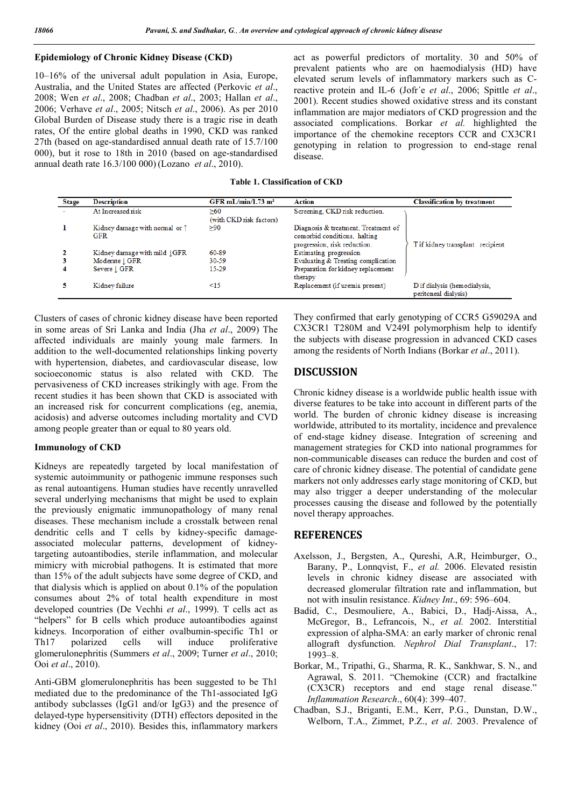## **Epidemiology of Chronic Kidney Disease (CKD)**

10–16% of the universal adult population in Asia, Europe, Australia, and the United States are affected (Perkovic *et al*., 2008; Wen *et al*., 2008; Chadban *et al*., 2003; Hallan *et al*., 2006; Verhave *et al*., 2005; Nitsch *et al*., 2006). As per 2010 Global Burden of Disease study there is a tragic rise in death rates, Of the entire global deaths in 1990, CKD was ranked 27th (based on age-standardised annual death rate of 15.7/100 000), but it rose to 18th in 2010 (based on age-standardised annual death rate 16.3/100 000) (Lozano *et al*., 2010).

act as powerful predictors of mortality. 30 and 50% of prevalent patients who are on haemodialysis (HD) have elevated serum levels of inflammatory markers such as Creactive protein and IL-6 (Jofr´e *et al*., 2006; Spittle *et al*., 2001). Recent studies showed oxidative stress and its constant inflammation are major mediators of CKD progression and the associated complications. Borkar *et al.* highlighted the importance of the chemokine receptors CCR and CX3CR1 genotyping in relation to progression to end-stage renal disease.

**Table 1. Classification of CKD**

| <b>Stage</b> | <b>Description</b>                                    | GFR mL/min/1.73 $m2$           | Action                                                                                              | <b>Classification by treatment</b>                   |
|--------------|-------------------------------------------------------|--------------------------------|-----------------------------------------------------------------------------------------------------|------------------------------------------------------|
|              | At Increased risk                                     | >60<br>(with CKD risk factors) | Screening, CKD risk reduction.                                                                      |                                                      |
|              | Kidney damage with normal or $\uparrow$<br><b>GFR</b> | >90                            | Diagnosis & treatment, Treatment of<br>comorbid conditions, halting<br>progression, risk reduction. | T if kidney transplant recipient                     |
|              | Kidney damage with mild JGFR                          | 60-89                          | Estimating progression                                                                              |                                                      |
|              | Moderate   GFR                                        | 30-59                          | Evaluating & Treating complication                                                                  |                                                      |
| 4            | Severe   GFR                                          | 15-29                          | Preparation for kidney replacement<br>therapy                                                       |                                                      |
|              | Kidney failure                                        | $\leq 15$                      | Replacement (if uremia present)                                                                     | D if dialysis (hemodialysis,<br>peritoneal dialysis) |

Clusters of cases of chronic kidney disease have been reported in some areas of Sri Lanka and India (Jha *et al*., 2009) The affected individuals are mainly young male farmers. In addition to the well-documented relationships linking poverty with hypertension, diabetes, and cardiovascular disease, low socioeconomic status is also related with CKD. The pervasiveness of CKD increases strikingly with age. From the recent studies it has been shown that CKD is associated with an increased risk for concurrent complications (eg, anemia, acidosis) and adverse outcomes including mortality and CVD among people greater than or equal to 80 years old.

#### **Immunology of CKD**

Kidneys are repeatedly targeted by local manifestation of systemic autoimmunity or pathogenic immune responses such as renal autoantigens. Human studies have recently unravelled several underlying mechanisms that might be used to explain the previously enigmatic immunopathology of many renal diseases. These mechanism include a crosstalk between renal dendritic cells and T cells by kidney-specific damageassociated molecular patterns, development of kidneytargeting autoantibodies, sterile inflammation, and molecular mimicry with microbial pathogens. It is estimated that more than 15% of the adult subjects have some degree of CKD, and that dialysis which is applied on about 0.1% of the population consumes about 2% of total health expenditure in most developed countries (De Vechhi *et al*., 1999). T cells act as "helpers" for B cells which produce autoantibodies against kidneys. Incorporation of either ovalbumin-specific Th1 or Th17 polarized cells will induce proliferative glomerulonephritis (Summers *et al*., 2009; Turner *et al*., 2010; Ooi *et al*., 2010).

Anti-GBM glomerulonephritis has been suggested to be Th1 mediated due to the predominance of the Th1-associated IgG antibody subclasses (IgG1 and/or IgG3) and the presence of delayed-type hypersensitivity (DTH) effectors deposited in the kidney (Ooi *et al*., 2010). Besides this, inflammatory markers

They confirmed that early genotyping of CCR5 G59029A and CX3CR1 T280M and V249I polymorphism help to identify the subjects with disease progression in advanced CKD cases among the residents of North Indians (Borkar *et al*., 2011).

## **DISCUSSION**

Chronic kidney disease is a worldwide public health issue with diverse features to be take into account in different parts of the world. The burden of chronic kidney disease is increasing worldwide, attributed to its mortality, incidence and prevalence of end-stage kidney disease. Integration of screening and management strategies for CKD into national programmes for non-communicable diseases can reduce the burden and cost of care of chronic kidney disease. The potential of candidate gene markers not only addresses early stage monitoring of CKD, but may also trigger a deeper understanding of the molecular processes causing the disease and followed by the potentially novel therapy approaches.

### **REFERENCES**

- Axelsson, J., Bergsten, A., Qureshi, A.R, Heimburger, O., Barany, P., Lonnqvist, F., *et al.* 2006. Elevated resistin levels in chronic kidney disease are associated with decreased glomerular filtration rate and inflammation, but not with insulin resistance. *Kidney Int*., 69: 596–604.
- Badid, C., Desmouliere, A., Babici, D., Hadj-Aissa, A., McGregor, B., Lefrancois, N., *et al.* 2002. Interstitial expression of alpha-SMA: an early marker of chronic renal allograft dysfunction. *Nephrol Dial Transplant*., 17: 1993–8.
- Borkar, M., Tripathi, G., Sharma, R. K., Sankhwar, S. N., and Agrawal, S. 2011. "Chemokine (CCR) and fractalkine (CX3CR) receptors and end stage renal disease." *Inflammation Research*., 60(4): 399–407.
- Chadban, S.J., Briganti, E.M., Kerr, P.G., Dunstan, D.W., Welborn, T.A., Zimmet, P.Z., *et al*. 2003. Prevalence of